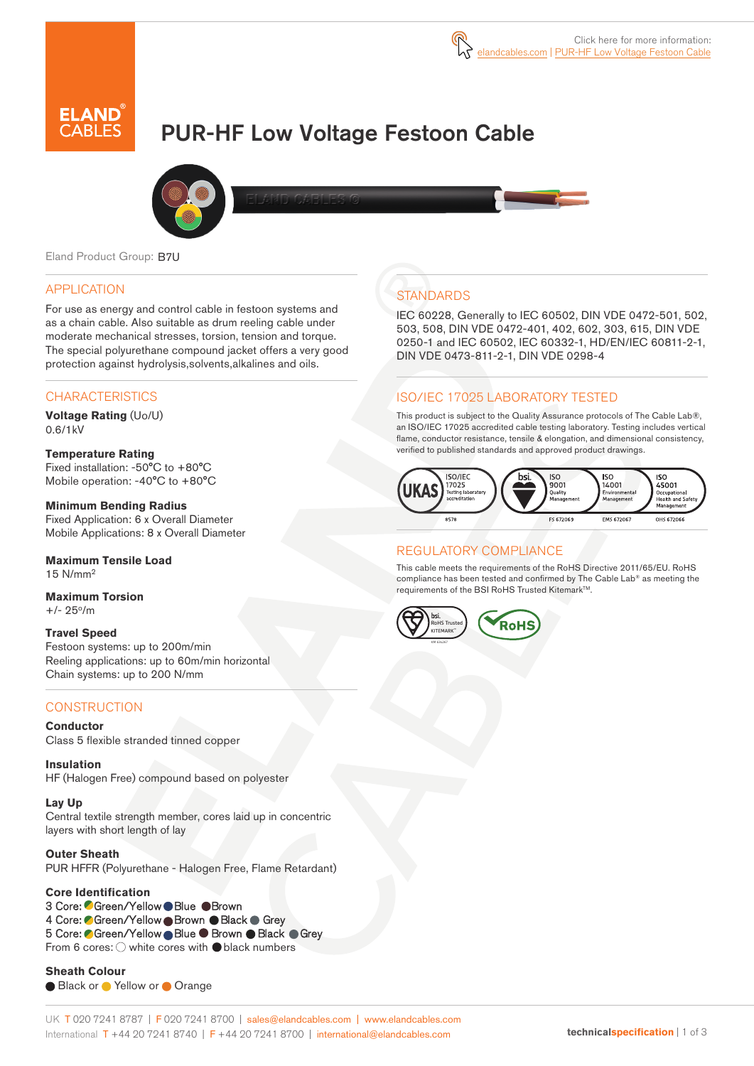

# PUR-HF Low Voltage Festoon Cable



Eland Product Group: B7U

#### APPLICATION

For use as energy and control cable in festoon systems and as a chain cable. Also suitable as drum reeling cable under moderate mechanical stresses, torsion, tension and torque. The special polyurethane compound jacket offers a very good protection against hydrolysis,solvents,alkalines and oils.

#### **CHARACTERISTICS**

**Voltage Rating** (Uo/U) 0.6/1kV

#### **Temperature Rating**

Fixed installation: -50°C to +80°C Mobile operation: -40°C to +80°C

#### **Minimum Bending Radius**

Fixed Application: 6 x Overall Diameter Mobile Applications: 8 x Overall Diameter

#### **Maximum Tensile Load** 15 N/mm<sup>2</sup>

**Maximum Torsion**  $+/- 25^{\circ}/m$ 

#### **Travel Speed**

Festoon systems: up to 200m/min Reeling applications: up to 60m/min horizontal Chain systems: up to 200 N/mm

#### **CONSTRUCTION**

**Conductor** Class 5 flexible stranded tinned copper

**Insulation** HF (Halogen Free) compound based on polyester

#### **Lay Up**

Central textile strength member, cores laid up in concentric layers with short length of lay

#### **Outer Sheath**

PUR HFFR (Polyurethane - Halogen Free, Flame Retardant)

#### **Core Identification**

3 Core: CGreen/Yellow ● Blue ● Brown 4 Core: Green/Yellow Brown Black Grey 5 Core: Green/Yellow Blue Brown Black Grey From 6 cores:  $\bigcirc$  white cores with  $\bigcirc$  black numbers

**Sheath Colour**  ● Black or ● Yellow or ● Orange

## **STANDARDS**

IEC 60228, Generally to IEC 60502, DIN VDE 0472-501, 502, 503, 508, DIN VDE 0472-401, 402, 602, 303, 615, DIN VDE 0250-1 and IEC 60502, IEC 60332-1, HD/EN/IEC 60811-2-1, DIN VDE 0473-811-2-1, DIN VDE 0298-4

## ISO/IEC 17025 LABORATORY TESTED

This product is subject to the Quality Assurance protocols of The Cable Lab®, an ISO/IEC 17025 accredited cable testing laboratory. Testing includes vertical flame, conductor resistance, tensile & elongation, and dimensional consistency, verified to published standards and approved product drawings.



## REGULATORY COMPLIANCE

This cable meets the requirements of the RoHS Directive 2011/65/EU. RoHS compliance has been tested and confirmed by The Cable Lab® as meeting the requirements of the BSI RoHS Trusted Kitemark™.

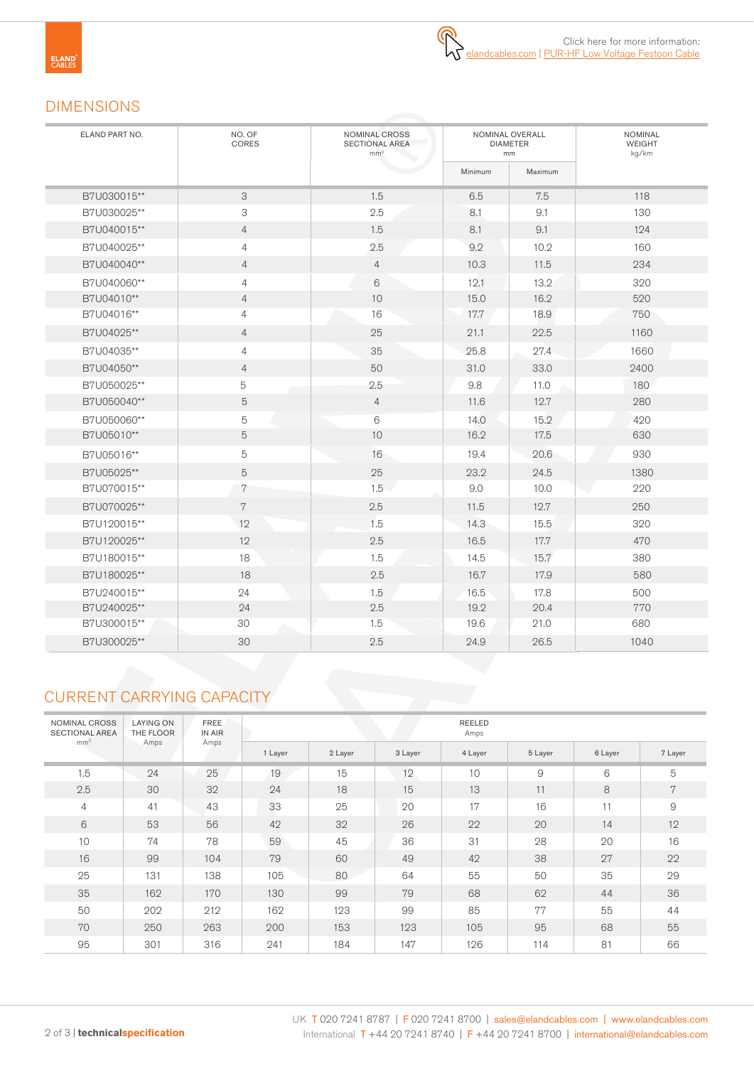## DIMENSIONS

| ELAND PART NO. | NO. OF<br>CORES | NOMINAL CROSS<br>SECTIONAL AREA<br>mm <sup>2</sup> |         | NOMINAL OVERALL<br><b>DIAMETER</b><br>mm | <b>NOMINAL</b><br><b>WEIGHT</b><br>kg/km |  |  |
|----------------|-----------------|----------------------------------------------------|---------|------------------------------------------|------------------------------------------|--|--|
|                |                 |                                                    | Minimum | Maximum                                  |                                          |  |  |
| B7U030015**    | 3               | 1.5                                                | 6.5     | 7.5                                      | 118                                      |  |  |
| B7U030025**    | 3               | 2.5                                                | 8.1     | 9.1                                      | 130                                      |  |  |
| B7U040015**    | $\overline{4}$  | 1.5                                                | 8.1     | 9.1                                      | 124                                      |  |  |
| B7U040025**    | $\overline{4}$  | 2.5                                                | 9.2     | 10.2                                     | 160                                      |  |  |
| B7U040040**    | $\overline{4}$  | $\overline{4}$                                     | 10.3    | 11.5                                     | 234                                      |  |  |
| B7U040060**    | $\overline{4}$  | 6                                                  | 12.1    | 13.2                                     | 320                                      |  |  |
| B7U04010**     | $\overline{4}$  | 10                                                 | 15.0    | 16.2                                     | 520                                      |  |  |
| B7U04016**     | $\overline{4}$  | 16                                                 | 17.7    | 18.9                                     | 750                                      |  |  |
| B7U04025**     | $\overline{4}$  | 25                                                 | 21.1    | 22.5                                     | 1160                                     |  |  |
| B7U04035**     | $\overline{4}$  | 35                                                 | 25.8    | 27.4                                     | 1660                                     |  |  |
| B7U04050**     | $\overline{4}$  | 50                                                 | 31.0    | 33.0                                     | 2400                                     |  |  |
| B7U050025**    | 5               | 2.5                                                | 9.8     | 11.0                                     | 180                                      |  |  |
| B7U050040**    | 5               | $\overline{4}$                                     | 11.6    | 12.7                                     | 280                                      |  |  |
| B7U050060**    | 5               | 6                                                  | 14.0    | 15.2                                     | 420                                      |  |  |
| B7U05010**     | 5               | 10                                                 | 16.2    | 17.5                                     | 630                                      |  |  |
| B7U05016**     | $\mathbf 5$     | 16                                                 | 19.4    | 20.6                                     | 930                                      |  |  |
| B7U05025**     | $\overline{5}$  | 25                                                 | 23.2    | 24.5                                     | 1380                                     |  |  |
| B7U070015**    | 7               | 1.5                                                | 9.0     | 10.0                                     | 220                                      |  |  |
| B7U070025**    | $\,7$           | 2.5                                                | 11.5    | 12.7                                     | 250                                      |  |  |
| B7U120015**    | 12              | 1.5                                                | 14.3    | 15.5                                     | 320                                      |  |  |
| B7U120025**    | 12              | 2.5                                                | 16.5    | 17.7                                     | 470                                      |  |  |
| B7U180015**    | 18              | 1.5                                                | 14.5    | 15.7                                     | 380                                      |  |  |
| B7U180025**    | 18              | 2.5                                                | 16.7    | 17.9                                     | 580                                      |  |  |
| B7U240015**    | 24              | 1.5                                                | 16.5    | 17.8                                     | 500                                      |  |  |
| B7U240025**    | 24              | 2.5                                                | 19.2    | 20.4                                     | 770                                      |  |  |
| B7U300015**    | 30              | 1.5                                                | 19.6    | 21.0                                     | 680                                      |  |  |
| B7U300025**    | 30              | 2.5                                                | 24.9    | 26.5                                     | 1040                                     |  |  |

## CURRENT CARRYING CAPACITY

| NOMINAL CROSS<br><b>SECTIONAL AREA</b><br>mm <sup>2</sup> | <b>LAYING ON</b><br>THE FLOOR | FREE<br>IN AIR | REELED<br>Amps |         |         |         |                |         |         |  |  |  |  |  |
|-----------------------------------------------------------|-------------------------------|----------------|----------------|---------|---------|---------|----------------|---------|---------|--|--|--|--|--|
|                                                           | Amps                          | Amps           | 1 Layer        | 2 Layer | 3 Layer | 4 Layer | 5 Layer        | 6 Layer | 7 Layer |  |  |  |  |  |
| 1.5                                                       | 24                            | 25             | 19             | 15      | 12      | 10      | $\overline{9}$ | 6       | 5       |  |  |  |  |  |
| 2.5                                                       | 30                            | 32             | 24             | 18      | 15      | 13      | 11             | 8       | 7       |  |  |  |  |  |
| $\overline{4}$                                            | 41                            | 43             | 33             | 25      | 20      | 17      | 16             | 11      | 9       |  |  |  |  |  |
| 6                                                         | 53                            | 56             | 42             | 32      | 26      | 22      | 20             | 14      | 12      |  |  |  |  |  |
| 10                                                        | 74                            | 78             | 59             | 45      | 36      | 31      | 28             | 20      | 16      |  |  |  |  |  |
| 16                                                        | 99                            | 104            | 79             | 60      | 49      | 42      | 38             | 27      | 22      |  |  |  |  |  |
| 25                                                        | 131                           | 138            | 105            | 80      | 64      | 55      | 50             | 35      | 29      |  |  |  |  |  |
| 35                                                        | 162                           | 170            | 130            | 99      | 79      | 68      | 62             | 44      | 36      |  |  |  |  |  |
| 50                                                        | 202                           | 212            | 162            | 123     | 99      | 85      | 77             | 55      | 44      |  |  |  |  |  |
| 70                                                        | 250                           | 263            | 200            | 153     | 123     | 105     | 95             | 68      | 55      |  |  |  |  |  |
| 95                                                        | 301                           | 316            | 241            | 184     | 147     | 126     | 114            | 81      | 66      |  |  |  |  |  |